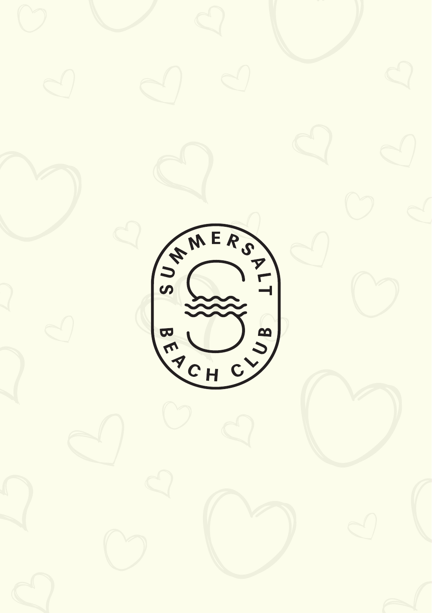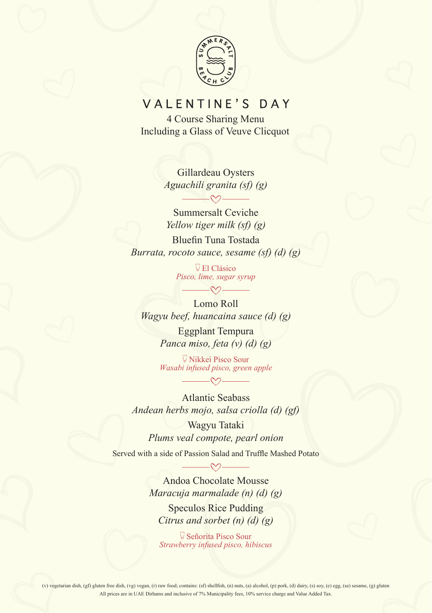

## VALENTINE'S DAY

4 Course Sharing Menu Including a Glass of Veuve Clicquot

> Gillardeau Oysters *Aguachili granita (sf) (g)*

Summersalt Ceviche *Yellow tiger milk (sf) (g)* Bluefin Tuna Tostada *Burrata, rocoto sauce, sesame (sf) (d) (g)*

> El Clásico *Pisco, lime, sugar syrup*  $\longrightarrow$

Lomo Roll *Wagyu beef, huancaina sauce (d) (g)* Eggplant Tempura

*Panca miso, feta (v) (d) (g)*

Nikkei Pisco Sour *Wasabi infused pisco, green apple*

Atlantic Seabass *Andean herbs mojo, salsa criolla (d) (gf)*

Wagyu Tataki *Plums veal compote, pearl onion*

Served with a side of Passion Salad and Truffle Mashed Potato

Andoa Chocolate Mousse *Maracuja marmalade (n) (d) (g)*

Speculos Rice Pudding *Citrus and sorbet (n) (d) (g)*

Señorita Pisco Sour *Strawberry infused pisco, hibiscus*

(v) vegetarian dish, (gf) gluten free dish, (vg) vegan, (r) raw food; contains: (sf) shellfish, (n) nuts, (a) alcohol, (p) pork, (d) dairy, (s) soy, (e) egg, (se) sesame, (g) gluten All prices are in UAE Dirhams and inclusive of 7% Municipality fees, 10% service charge and Value Added Tax.